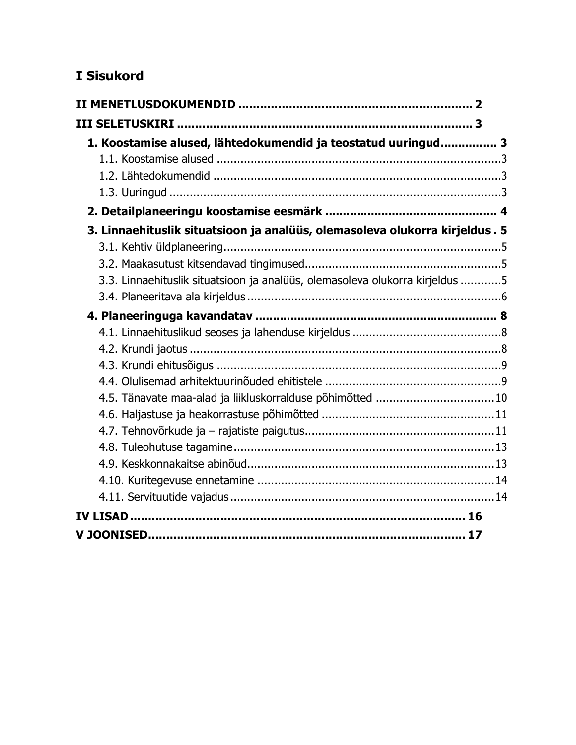# I Sisukord

| 1. Koostamise alused, lähtedokumendid ja teostatud uuringud 3                |  |
|------------------------------------------------------------------------------|--|
|                                                                              |  |
|                                                                              |  |
|                                                                              |  |
|                                                                              |  |
| 3. Linnaehituslik situatsioon ja analüüs, olemasoleva olukorra kirjeldus. 5  |  |
|                                                                              |  |
|                                                                              |  |
| 3.3. Linnaehituslik situatsioon ja analüüs, olemasoleva olukorra kirjeldus 5 |  |
|                                                                              |  |
|                                                                              |  |
|                                                                              |  |
|                                                                              |  |
|                                                                              |  |
|                                                                              |  |
| 4.5. Tänavate maa-alad ja liikluskorralduse põhimõtted 10                    |  |
|                                                                              |  |
|                                                                              |  |
|                                                                              |  |
|                                                                              |  |
|                                                                              |  |
|                                                                              |  |
|                                                                              |  |
|                                                                              |  |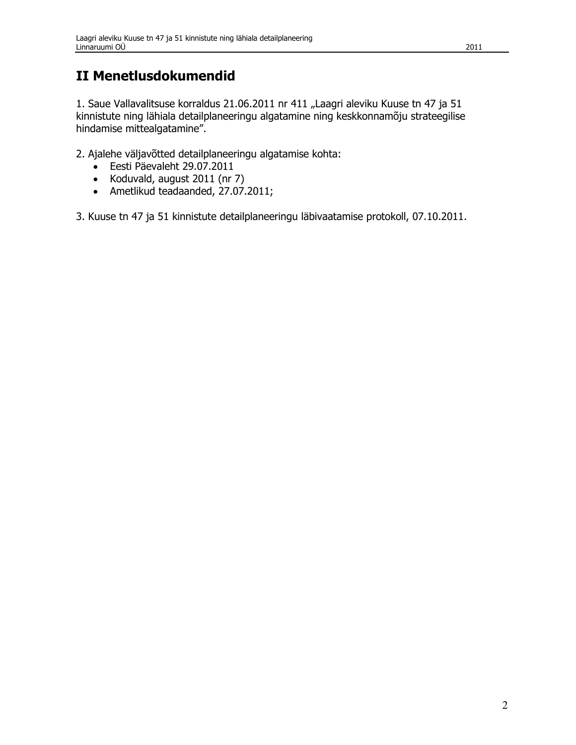# **II Menetlusdokumendid**

1. Saue Vallavalitsuse korraldus 21.06.2011 nr 411 "Laagri aleviku Kuuse tn 47 ja 51 kinnistute ning lähiala detailplaneeringu algatamine ning keskkonnamõju strateegilise hindamise mittealgatamine".

2. Ajalehe väljavõtted detailplaneeringu algatamise kohta:

- · Eesti Päevaleht 29.07.2011
- Koduvald, august 2011 (nr 7)
- Ametlikud teadaanded, 27.07.2011;  $\bullet$

3. Kuuse tn 47 ja 51 kinnistute detailplaneeringu läbivaatamise protokoll, 07.10.2011.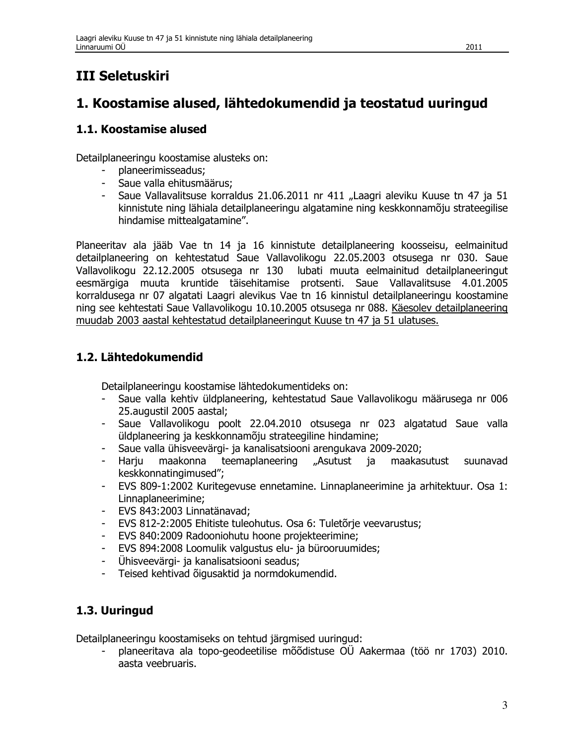# **III Seletuskiri**

## 1. Koostamise alused, lähtedokumendid ja teostatud uuringud

### 1.1. Koostamise alused

Detailplaneeringu koostamise alusteks on:

- planeerimisseadus;
- Saue valla ehitusmäärus:
- Saue Vallavalitsuse korraldus 21.06.2011 nr 411 "Laagri aleviku Kuuse tn 47 ja 51 kinnistute ning lähiala detailplaneeringu algatamine ning keskkonnamõju strateegilise hindamise mittealgatamine".

Planeeritav ala jääb Vae tn 14 ja 16 kinnistute detailplaneering koosseisu, eelmainitud detailplaneering on kehtestatud Saue Vallavolikogu 22.05.2003 otsusega nr 030. Saue lubati muuta eelmainitud detailplaneeringut Vallavolikogu 22.12.2005 otsusega nr 130 eesmärgiga muuta kruntide täisehitamise protsenti. Saue Vallavalitsuse 4.01.2005 korraldusega nr 07 algatati Laagri alevikus Vae tn 16 kinnistul detailplaneeringu koostamine ning see kehtestati Saue Vallavolikogu 10.10.2005 otsusega nr 088. Käesolev detailplaneering muudab 2003 aastal kehtestatud detailplaneeringut Kuuse tn 47 ja 51 ulatuses.

## 1.2. Lähtedokumendid

Detailplaneeringu koostamise lähtedokumentideks on:

- Saue valla kehtiv üldplaneering, kehtestatud Saue Vallavolikogu määrusega nr 006 25.augustil 2005 aastal;
- Saue Vallavolikogu poolt 22.04.2010 otsusega nr 023 algatatud Saue valla  $\omega_{\rm{max}}$ üldplaneering ja keskkonnamõju strateegiline hindamine;
- $\omega_{\rm{max}}$ Saue valla ühisveevärgi- ja kanalisatsiooni arengukava 2009-2020;
- teemaplaneering  $\mathbf{L}^{\text{max}}$ Harju maakonna "Asutust ja maakasutust suunavad keskkonnatingimused";
- EVS 809-1:2002 Kuritegevuse ennetamine. Linnaplaneerimine ja arhitektuur. Osa 1:  $\sim 100$ Linnaplaneerimine:
- EVS 843:2003 Linnatänavad;
- EVS 812-2:2005 Ehitiste tuleohutus. Osa 6: Tuletõrie veevarustus;
- EVS 840:2009 Radooniohutu hoone projekteerimine;
- EVS 894:2008 Loomulik valgustus elu- ja bürooruumides;
- Ühisveevärgi- ja kanalisatsiooni seadus;
- $\omega_{\rm{max}}$ Teised kehtivad õigusaktid ja normdokumendid.

## 1.3. Uuringud

Detailplaneeringu koostamiseks on tehtud järgmised uuringud:

planeeritava ala topo-geodeetilise mõõdistuse OÜ Aakermaa (töö nr 1703) 2010. aasta veebruaris.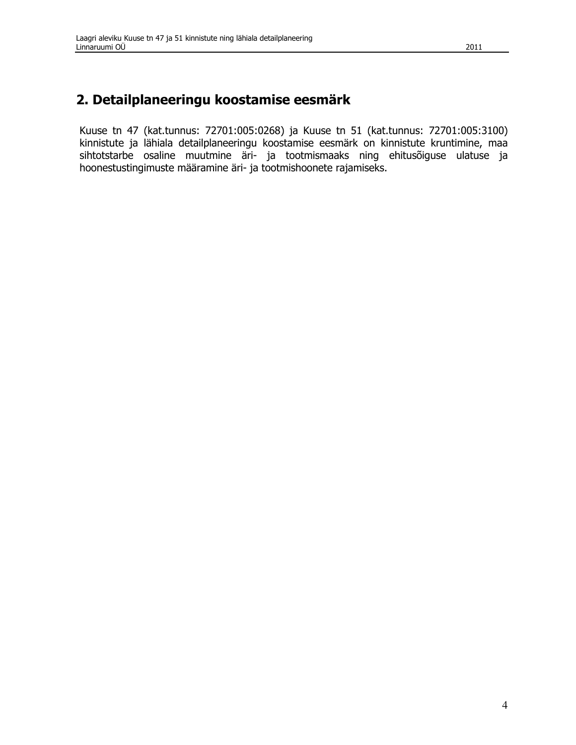## 2. Detailplaneeringu koostamise eesmärk

Kuuse tn 47 (kat.tunnus: 72701:005:0268) ja Kuuse tn 51 (kat.tunnus: 72701:005:3100) kinnistute ja lähiala detailplaneeringu koostamise eesmärk on kinnistute kruntimine, maa sihtotstarbe osaline muutmine äri- ja tootmismaaks ning ehitusõiguse ulatuse ja hoonestustingimuste määramine äri- ja tootmishoonete rajamiseks.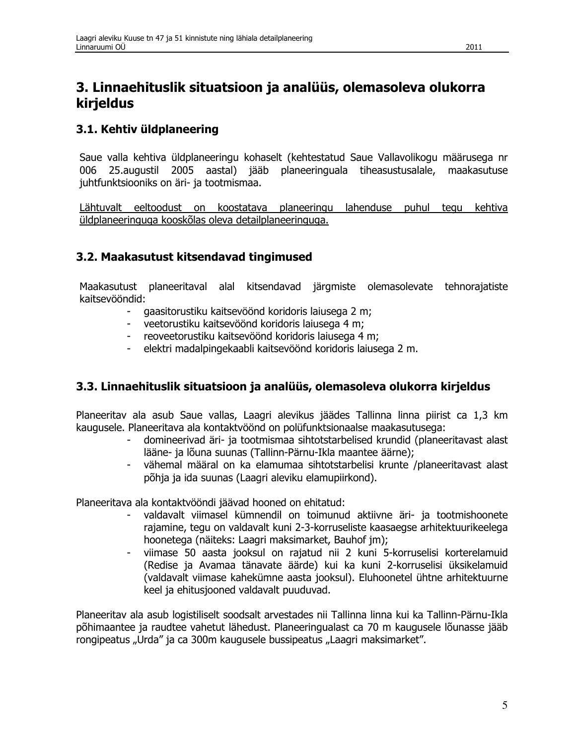## 3. Linnaehituslik situatsioon ja analüüs, olemasoleva olukorra kirjeldus

## 3.1. Kehtiv üldplaneering

Saue valla kehtiva üldplaneeringu kohaselt (kehtestatud Saue Vallavolikogu määrusega nr 006 25.augustil 2005 aastal) jääb planeeringuala tiheasustusalale, maakasutuse juhtfunktsiooniks on äri- ja tootmismaa.

Lähtuvalt eeltoodust on koostatava planeeringu lahenduse puhul tegu kehtiva üldplaneeringuga kooskõlas oleva detailplaneeringuga.

## 3.2. Maakasutust kitsendavad tingimused

Maakasutust planeeritaval alal kitsendavad järgmiste olemasolevate tehnorajatiste kaitsevööndid:

- gaasitorustiku kaitsevöönd koridoris laiusega 2 m;  $\omega_{\rm{max}}$
- veetorustiku kaitsevöönd koridoris laiusega 4 m;
- reoveetorustiku kaitsevöönd koridoris laiusega 4 m;
- elektri madalpingekaabli kaitsevöönd koridoris laiusega 2 m.

### 3.3. Linnaehituslik situatsioon ja analüüs, olemasoleva olukorra kirjeldus

Planeeritav ala asub Saue vallas, Laagri alevikus jäädes Tallinna linna piirist ca 1,3 km kaugusele. Planeeritava ala kontaktvöönd on polüfunktsionaalse maakasutusega:

- domineerivad äri- ja tootmismaa sihtotstarbelised krundid (planeeritavast alast  $\omega_{\rm{max}}$ lääne- ja lõuna suunas (Tallinn-Pärnu-Ikla maantee äärne);
- $\omega$  . vähemal määral on ka elamumaa sihtotstarbelisi krunte /planeeritavast alast põhja ja ida suunas (Laagri aleviku elamupiirkond).

Planeeritava ala kontaktvööndi jäävad hooned on ehitatud:

- valdavalt viimasel kümnendil on toimunud aktiivne äri- ja tootmishoonete rajamine, tegu on valdavalt kuni 2-3-korruseliste kaasaegse arhitektuurikeelega hoonetega (näiteks: Laagri maksimarket, Bauhof jm);
- viimase 50 aasta jooksul on rajatud nii 2 kuni 5-korruselisi korterelamuid  $\omega$  . (Redise ja Avamaa tänavate äärde) kui ka kuni 2-korruselisi üksikelamuid (valdavalt viimase kahekümne aasta jooksul). Eluhoonetel ühtne arhitektuurne keel ja ehitusjooned valdavalt puuduvad.

Planeeritav ala asub logistiliselt soodsalt arvestades nii Tallinna linna kui ka Tallinn-Pärnu-Ikla põhimaantee ja raudtee vahetut lähedust. Planeeringualast ca 70 m kaugusele lõunasse jääb rongipeatus "Urda" ja ca 300m kaugusele bussipeatus "Laagri maksimarket".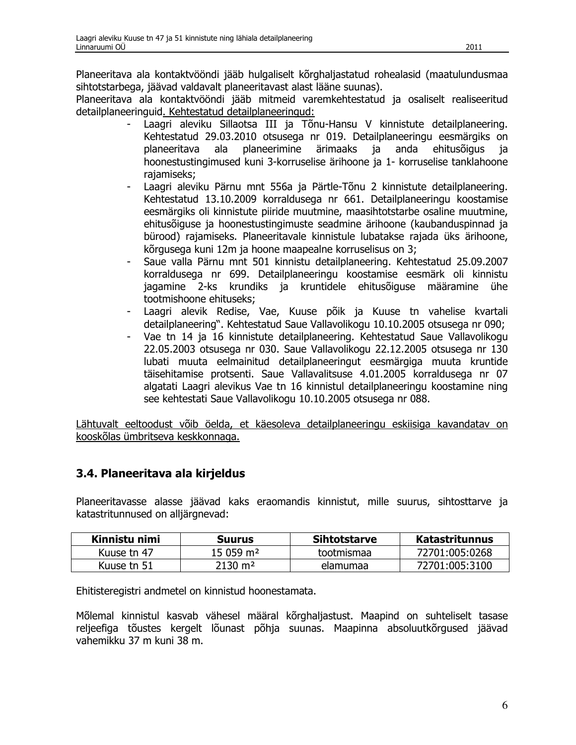Planeeritava ala kontaktvööndi jääb hulgaliselt kõrghaljastatud rohealasid (maatulundusmaa sihtotstarbega, jäävad valdavalt planeeritavast alast lääne suunas).

Planeeritava ala kontaktvööndi jääb mitmeid varemkehtestatud ja osaliselt realiseeritud detailplaneeringuid. Kehtestatud detailplaneeringud:

- Laagri aleviku Sillaotsa III ja Tõnu-Hansu V kinnistute detailplaneering. Kehtestatud 29.03.2010 otsusega nr 019. Detailplaneeringu eesmärgiks on planeeritava ala planeerimine ärimaaks ja anda ehitusõigus ia hoonestustingimused kuni 3-korruselise ärihoone ja 1- korruselise tanklahoone rajamiseks;
- Laagri aleviku Pärnu mnt 556a ja Pärtle-Tõnu 2 kinnistute detailplaneering. Kehtestatud 13.10.2009 korraldusega nr 661. Detailplaneeringu koostamise eesmärgiks oli kinnistute piiride muutmine, maasihtotstarbe osaline muutmine, ehitusõiguse ja hoonestustingimuste seadmine ärihoone (kaubanduspinnad ja bürood) rajamiseks. Planeeritavale kinnistule lubatakse rajada üks ärihoone, kõrgusega kuni 12m ja hoone maapealne korruselisus on 3;
- Saue valla Pärnu mnt 501 kinnistu detailplaneering. Kehtestatud 25.09.2007  $\omega$  . korraldusega nr 699. Detailplaneeringu koostamise eesmärk oli kinnistu jagamine 2-ks krundiks ja kruntidele ehitusõiguse määramine ühe tootmishoone ehituseks;
- Laagri alevik Redise, Vae, Kuuse põik ja Kuuse tn vahelise kvartali detailplaneering". Kehtestatud Saue Vallavolikogu 10.10.2005 otsusega nr 090;
- Vae tn 14 ja 16 kinnistute detailplaneering. Kehtestatud Saue Vallavolikogu 22.05.2003 otsusega nr 030. Saue Vallavolikogu 22.12.2005 otsusega nr 130 lubati muuta eelmainitud detailplaneeringut eesmärgiga muuta kruntide täisehitamise protsenti. Saue Vallavalitsuse 4.01.2005 korraldusega nr 07 algatati Laagri alevikus Vae tn 16 kinnistul detailplaneeringu koostamine ning see kehtestati Saue Vallavolikogu 10.10.2005 otsusega nr 088.

Lähtuvalt eeltoodust võib öelda, et käesoleva detailplaneeringu eskiisiga kavandatav on kooskõlas ümbritseva keskkonnaga.

## 3.4. Planeeritava ala kirjeldus

Planeeritavasse alasse jäävad kaks eraomandis kinnistut, mille suurus, sihtosttarve ja katastritunnused on alliärgnevad:

| Kinnistu nimi | <b>Suurus</b>       | <b>Sihtotstarve</b> | <b>Katastritunnus</b> |
|---------------|---------------------|---------------------|-----------------------|
| Kuuse tn 47   | $15059 \text{ m}^2$ | tootmismaa          | 72701.005.0268        |
| Kuuse tn 51   | 2130 m²             | elamumaa            | 72701:005:3100        |

Ehitisteregistri andmetel on kinnistud hoonestamata.

Mõlemal kinnistul kasvab vähesel määral kõrghaljastust. Maapind on suhteliselt tasase reljeefiga tõustes kergelt lõunast põhja suunas. Maapinna absoluutkõrgused jäävad vahemikku 37 m kuni 38 m.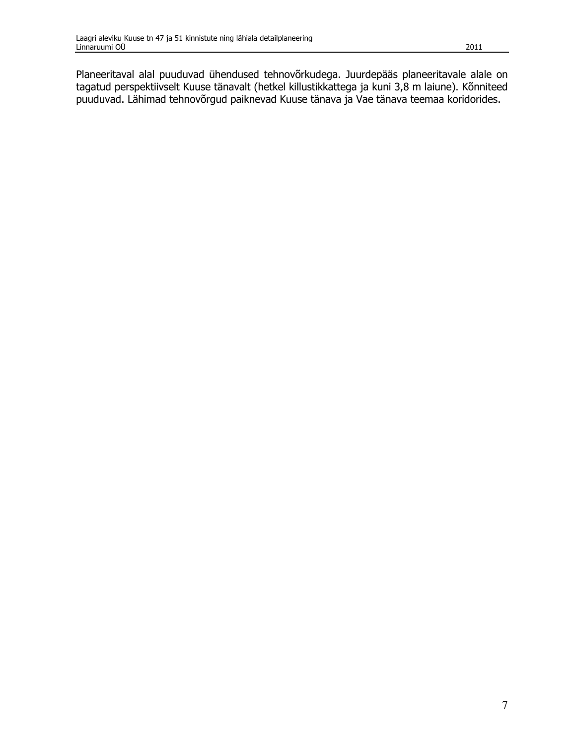Planeeritaval alal puuduvad ühendused tehnovõrkudega. Juurdepääs planeeritavale alale on tagatud perspektiivselt Kuuse tänavalt (hetkel killustikkattega ja kuni 3,8 m laiune). Kõnniteed puuduvad. Lähimad tehnovõrgud paiknevad Kuuse tänava ja Vae tänava teemaa koridorides.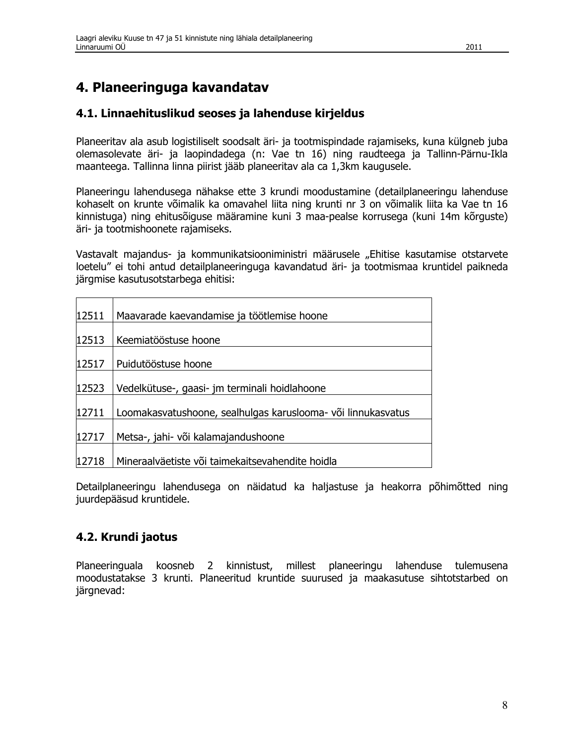## 4. Planeeringuga kavandatav

### 4.1. Linnaehituslikud seoses ja lahenduse kirjeldus

Planeeritav ala asub logistiliselt soodsalt äri- ja tootmispindade rajamiseks, kuna külgneb juba olemasolevate äri- ja laopindadega (n: Vae tn 16) ning raudteega ja Tallinn-Pärnu-Ikla maanteega. Tallinna linna piirist jääb planeeritav ala ca 1,3km kaugusele.

Planeeringu lahendusega nähakse ette 3 krundi moodustamine (detailplaneeringu lahenduse kohaselt on krunte võimalik ka omavahel liita ning krunti nr 3 on võimalik liita ka Vae tn 16 kinnistuga) ning ehitusõiguse määramine kuni 3 maa-pealse korrusega (kuni 14m kõrguste) äri- ja tootmishoonete rajamiseks.

Vastavalt majandus- ja kommunikatsiooniministri määrusele "Ehitise kasutamise otstarvete loetelu" ei tohi antud detailplaneeringuga kavandatud äri- ja tootmismaa kruntidel paikneda järgmise kasutusotstarbega ehitisi:

| 12511 | Maavarade kaevandamise ja töötlemise hoone                   |
|-------|--------------------------------------------------------------|
| 12513 | Keemiatööstuse hoone                                         |
| 12517 | Puidutööstuse hoone                                          |
| 12523 | Vedelkütuse-, gaasi- jm terminali hoidlahoone                |
| 12711 | Loomakasvatushoone, sealhulgas karuslooma- või linnukasvatus |
| 12717 | Metsa-, jahi- või kalamajandushoone                          |
| 12718 | Mineraalväetiste või taimekaitsevahendite hoidla             |

Detailplaneeringu lahendusega on näidatud ka haljastuse ja heakorra põhimõtted ning juurdepääsud kruntidele.

### 4.2. Krundi jaotus

Planeeringuala koosneb 2 kinnistust, millest planeeringu lahenduse tulemusena moodustatakse 3 krunti. Planeeritud kruntide suurused ja maakasutuse sihtotstarbed on järgnevad: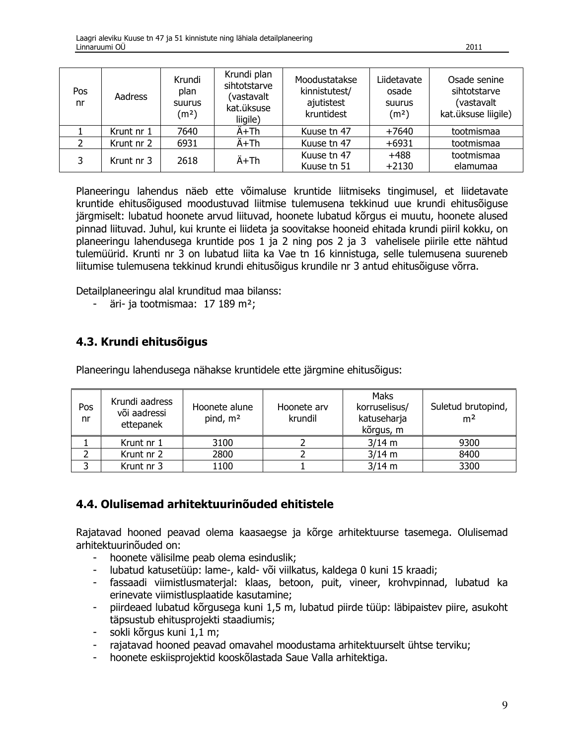| Pos<br>nr | Aadress    | Krundi<br>plan<br><b>Suurus</b><br>(m <sup>2</sup> ) | Krundi plan<br>sihtotstarve<br>(vastavalt<br>kat.üksuse<br>liigile) | Moodustatakse<br>kinnistutest/<br>ajutistest<br>kruntidest | Liidetavate<br>osade<br>suurus<br>(m <sup>2</sup> ) | Osade senine<br>sihtotstarve<br>(vastavalt<br>kat.üksuse liigile) |
|-----------|------------|------------------------------------------------------|---------------------------------------------------------------------|------------------------------------------------------------|-----------------------------------------------------|-------------------------------------------------------------------|
|           | Krunt nr 1 | 7640                                                 | Ä+Th                                                                | Kuuse tn 47                                                | $+7640$                                             | tootmismaa                                                        |
|           | Krunt nr 2 | 6931                                                 | Ä+Th                                                                | Kuuse tn 47                                                | $+6931$                                             | tootmismaa                                                        |
| 3         | Krunt nr 3 | 2618                                                 | Ä+Th                                                                | Kuuse tn 47<br>Kuuse tn 51                                 | $+488$<br>$+2130$                                   | tootmismaa<br>elamumaa                                            |

Planeeringu lahendus näeb ette võimaluse kruntide liitmiseks tingimusel, et liidetavate kruntide ehitusõigused moodustuvad liitmise tulemusena tekkinud uue krundi ehitusõiguse järgmiselt: lubatud hoonete arvud liituvad, hoonete lubatud kõrgus ei muutu, hoonete alused pinnad liituvad. Juhul, kui krunte ei liideta ja soovitakse hooneid ehitada krundi piiril kokku, on planeeringu lahendusega kruntide pos 1 ja 2 ning pos 2 ja 3 vahelisele piirile ette nähtud tulemüürid. Krunti nr 3 on lubatud liita ka Vae tn 16 kinnistuga, selle tulemusena suureneb liitumise tulemusena tekkinud krundi ehitusõigus krundile nr 3 antud ehitusõiguse võrra.

Detailplaneeringu alal krunditud maa bilanss:

- äri- ja tootmismaa: 17 189 m<sup>2</sup>;

### 4.3. Krundi ehitusõigus

Planeeringu lahendusega nähakse kruntidele ette järgmine ehitusõigus:

| Pos<br>nr | Krundi aadress<br>või aadressi<br>ettepanek | Hoonete alune<br>pind, m <sup>2</sup> | Hoonete arv<br>krundil | Maks<br>korruselisus/<br>katuseharja<br>kõrgus, m | Suletud brutopind,<br>m <sup>2</sup> |
|-----------|---------------------------------------------|---------------------------------------|------------------------|---------------------------------------------------|--------------------------------------|
|           | Krunt nr 1                                  | 3100                                  |                        | $3/14$ m                                          | 9300                                 |
|           | Krunt nr 2                                  | 2800                                  |                        | $3/14$ m                                          | 8400                                 |
|           | Krunt nr 3                                  | 1100                                  |                        | $3/14$ m                                          | 3300                                 |

## 4.4. Olulisemad arhitektuurinõuded ehitistele

Rajatavad hooned peavad olema kaasaegse ja kõrge arhitektuurse tasemega. Olulisemad arhitektuurinõuded on:

- hoonete välisilme peab olema esinduslik;
- lubatud katusetüüp: lame-, kald- või viilkatus, kaldega 0 kuni 15 kraadi;
- fassaadi viimistlusmaterjal: klaas, betoon, puit, vineer, krohvpinnad, lubatud ka  $\sim$ erinevate viimistlusplaatide kasutamine;
- piirdeaed lubatud kõrgusega kuni 1,5 m, lubatud piirde tüüp: läbipaistev piire, asukoht  $\omega_{\rm{eff}}$ täpsustub ehitusprojekti staadiumis;
- sokli kõrgus kuni 1,1 m;  $\sim$  .
- rajatavad hooned peavad omavahel moodustama arhitektuurselt ühtse terviku;
- hoonete eskiisprojektid kooskõlastada Saue Valla arhitektiga.  $\mathcal{L}^{\pm}$

2011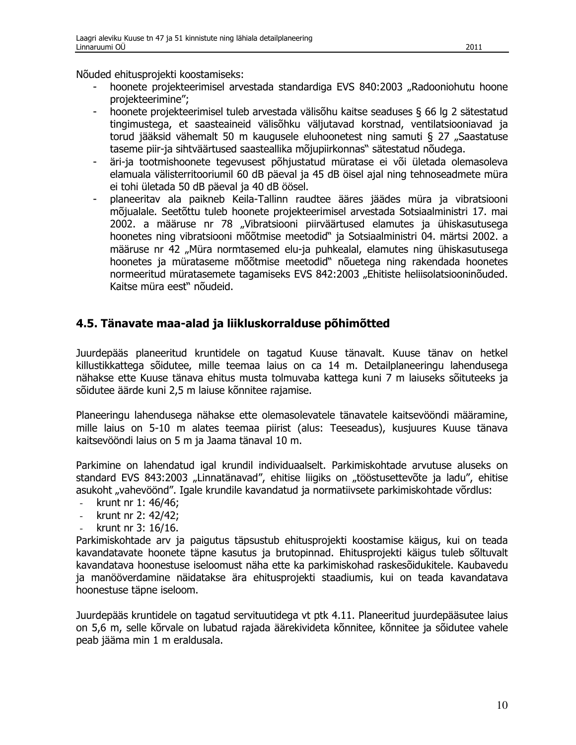Nõuded ehitusprojekti koostamiseks:

- hoonete projekteerimisel arvestada standardiga EVS 840:2003 "Radooniohutu hoone projekteerimine":
- hoonete projekteerimisel tuleb arvestada välisõhu kaitse seaduses § 66 lg 2 sätestatud  $\sim$ tingimustega, et saasteaineid välisõhku väljutavad korstnad, ventilatsiooniavad ja torud jääksid vähemalt 50 m kaugusele eluhoonetest ning samuti § 27 "Saastatuse taseme piir-ja sihtväärtused saasteallika mõjupiirkonnas" sätestatud nõudega.
- äri-ja tootmishoonete tegevusest põhjustatud müratase ei või ületada olemasoleva elamuala välisterritooriumil 60 dB päeval ja 45 dB öisel ajal ning tehnoseadmete müra ei tohi ületada 50 dB päeval ja 40 dB öösel.
- planeeritav ala paikneb Keila-Tallinn raudtee ääres jäädes müra ja vibratsiooni mõjualale. Seetõttu tuleb hoonete projekteerimisel arvestada Sotsiaalministri 17. mai 2002. a määruse nr 78 "Vibratsiooni piirväärtused elamutes ja ühiskasutusega hoonetes ning vibratsiooni mõõtmise meetodid" ja Sotsiaalministri 04. märtsi 2002. a määruse nr 42 "Müra normtasemed elu-ja puhkealal, elamutes ning ühiskasutusega hoonetes ja mürataseme mõõtmise meetodid" nõuetega ning rakendada hoonetes normeeritud müratasemete tagamiseks EVS 842:2003 "Ehitiste heliisolatsiooninõuded. Kaitse müra eest" nõudeid.

### 4.5. Tänavate maa-alad ja liikluskorralduse põhimõtted

Juurdepääs planeeritud kruntidele on tagatud Kuuse tänavalt. Kuuse tänav on hetkel killustikkattega sõidutee, mille teemaa laius on ca 14 m. Detailplaneeringu lahendusega nähakse ette Kuuse tänava ehitus musta tolmuvaba kattega kuni 7 m laiuseks sõituteeks ja sõidutee äärde kuni 2,5 m laiuse kõnnitee rajamise.

Planeeringu lahendusega nähakse ette olemasolevatele tänavatele kaitsevööndi määramine, mille laius on 5-10 m alates teemaa piirist (alus: Teeseadus), kusjuures Kuuse tänava kaitsevööndi laius on 5 m ja Jaama tänaval 10 m.

Parkimine on lahendatud igal krundil individuaalselt. Parkimiskohtade arvutuse aluseks on standard EVS 843:2003 "Linnatänavad", ehitise liigiks on "tööstusettevõte ja ladu", ehitise asukoht "vahevöönd". Igale krundile kavandatud ja normatiivsete parkimiskohtade võrdlus:

- krunt nr 1: 46/46:  $\omega_{\rm c}$
- krunt nr 2: 42/42;
- krunt nr 3: 16/16.

Parkimiskohtade arv ja paigutus täpsustub ehitusprojekti koostamise käigus, kui on teada kavandatavate hoonete täpne kasutus ja brutopinnad. Ehitusprojekti käigus tuleb sõltuvalt kavandatava hoonestuse iseloomust näha ette ka parkimiskohad raskesõidukitele. Kaubavedu ja manööverdamine näidatakse ära ehitusprojekti staadiumis, kui on teada kavandatava hoonestuse täpne iseloom.

Juurdepääs kruntidele on tagatud servituutidega vt ptk 4.11. Planeeritud juurdepääsutee laius on 5,6 m, selle kõrvale on lubatud rajada äärekivideta kõnnitee, kõnnitee ja sõidutee vahele peab jääma min 1 m eraldusala.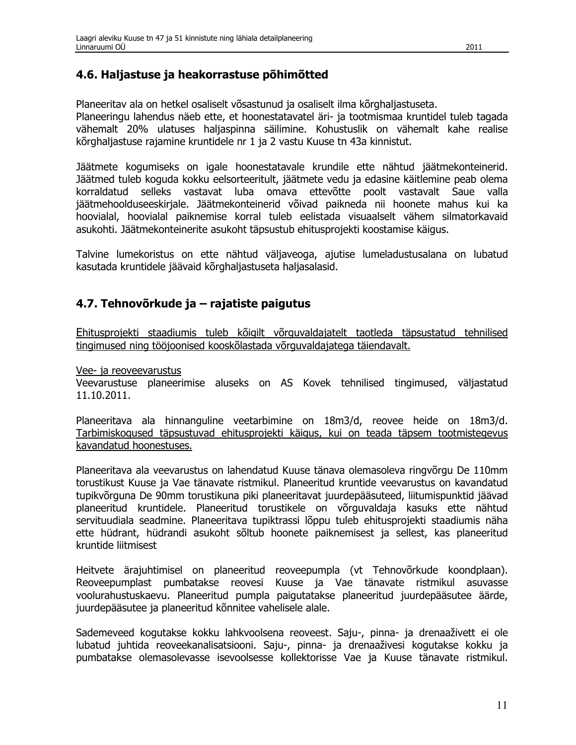#### 4.6. Haljastuse ja heakorrastuse põhimõtted

Planeeritav ala on hetkel osaliselt võsastunud ja osaliselt ilma kõrghaljastuseta.

Planeeringu lahendus näeb ette, et hoonestatavatel äri- ja tootmismaa kruntidel tuleb tagada vähemalt 20% ulatuses haljaspinna säilimine. Kohustuslik on vähemalt kahe realise kõrghaljastuse rajamine kruntidele nr 1 ja 2 vastu Kuuse tn 43a kinnistut.

Jäätmete kogumiseks on igale hoonestatavale krundile ette nähtud jäätmekonteinerid. Jäätmed tuleb koguda kokku eelsorteeritult, jäätmete vedu ja edasine käitlemine peab olema korraldatud selleks vastavat luba omava ettevõtte poolt vastavalt Saue valla jäätmehoolduseeskirjale. Jäätmekonteinerid võivad paikneda nii hoonete mahus kui ka hoovialal, hoovialal paiknemise korral tuleb eelistada visuaalselt vähem silmatorkavaid asukohti. Jäätmekonteinerite asukoht täpsustub ehitusprojekti koostamise käigus.

Talvine lumekoristus on ette nähtud väljaveoga, ajutise lumeladustusalana on lubatud kasutada kruntidele jäävaid kõrghaljastuseta haljasalasid.

### 4.7. Tehnovõrkude ja – rajatiste paigutus

Ehitusprojekti staadiumis tuleb kõigilt võrguvaldajatelt taotleda täpsustatud tehnilised tingimused ning tööjoonised kooskõlastada võrguvaldajatega täiendavalt.

Vee- ja reoveevarustus

Veevarustuse planeerimise aluseks on AS Kovek tehnilised tingimused, väljastatud 11.10.2011.

Planeeritava ala hinnanguline veetarbimine on 18m3/d, reovee heide on 18m3/d. Tarbimiskogused täpsustuvad ehitusprojekti käigus, kui on teada täpsem tootmistegevus kavandatud hoonestuses.

Planeeritava ala veevarustus on lahendatud Kuuse tänava olemasoleva ringvõrgu De 110mm torustikust Kuuse ja Vae tänavate ristmikul. Planeeritud kruntide veevarustus on kavandatud tupikvõrguna De 90mm torustikuna piki planeeritavat juurdepääsuteed, liitumispunktid jäävad planeeritud kruntidele. Planeeritud torustikele on võrguvaldaja kasuks ette nähtud servituudiala seadmine. Planeeritava tupiktrassi lõppu tuleb ehitusprojekti staadiumis näha ette hüdrant, hüdrandi asukoht sõltub hoonete paiknemisest ja sellest, kas planeeritud kruntide liitmisest

Heitvete ärajuhtimisel on planeeritud reoveepumpla (vt Tehnovõrkude koondplaan). Reoveepumplast pumbatakse reovesi Kuuse ja Vae tänavate ristmikul asuvasse voolurahustuskaevu. Planeeritud pumpla paigutatakse planeeritud juurdepääsutee äärde, juurdepääsutee ja planeeritud kõnnitee vahelisele alale.

Sademeveed kogutakse kokku lahkvoolsena reoveest. Saju-, pinna- ja drenaaživett ei ole lubatud juhtida reoveekanalisatsiooni. Saju-, pinna- ja drenaaživesi kogutakse kokku ja pumbatakse olemasolevasse isevoolsesse kollektorisse Vae ja Kuuse tänavate ristmikul.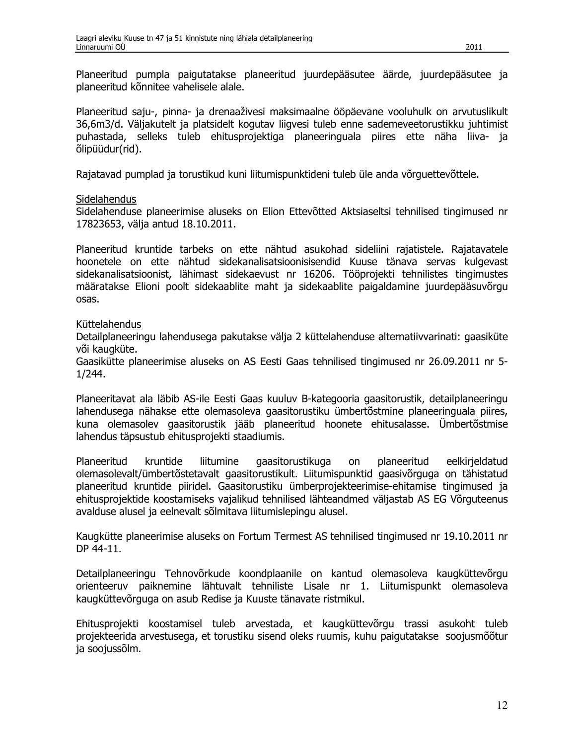Planeeritud pumpla paigutatakse planeeritud juurdepääsutee äärde, juurdepääsutee ja planeeritud kõnnitee vahelisele alale.

Planeeritud saju-, pinna- ja drenaaživesi maksimaalne ööpäevane vooluhulk on arvutuslikult 36,6m3/d. Väljakutelt ja platsidelt kogutav liigvesi tuleb enne sademeveetorustikku juhtimist puhastada, selleks tuleb ehitusprojektiga planeeringuala piires ette näha liiva- ja õlipüüdur(rid).

Rajatavad pumplad ja torustikud kuni liitumispunktideni tuleb üle anda võrguettevõttele.

#### **Sidelahendus**

Sidelahenduse planeerimise aluseks on Elion Ettevõtted Aktsiaseltsi tehnilised tingimused nr 17823653, välja antud 18.10.2011.

Planeeritud kruntide tarbeks on ette nähtud asukohad sideliini rajatistele. Rajatavatele hoonetele on ette nähtud sidekanalisatsioonisisendid Kuuse tänava servas kulgevast sidekanalisatsioonist, lähimast sidekaevust nr 16206. Tööprojekti tehnilistes tingimustes määratakse Elioni poolt sidekaablite maht ja sidekaablite paigaldamine juurdepääsuvõrgu osas.

#### Küttelahendus

Detailplaneeringu lahendusega pakutakse välja 2 küttelahenduse alternatiivvarinati: gaasiküte või kaugküte.

Gaasikütte planeerimise aluseks on AS Eesti Gaas tehnilised tingimused nr 26.09.2011 nr 5- $1/244.$ 

Planeeritavat ala läbib AS-ile Eesti Gaas kuuluv B-kategooria gaasitorustik, detailplaneeringu lahendusega nähakse ette olemasoleva gaasitorustiku ümbertõstmine planeeringuala piires, kuna olemasolev gaasitorustik jääb planeeritud hoonete ehitusalasse. Ümbertõstmise lahendus täpsustub ehitusprojekti staadiumis.

Planeeritud kruntide liitumine gaasitorustikuga on planeeritud eelkirieldatud olemasolevalt/ümbertõstetavalt gaasitorustikult. Liitumispunktid gaasivõrguga on tähistatud planeeritud kruntide piiridel. Gaasitorustiku ümberprojekteerimise-ehitamise tingimused ja ehitusprojektide koostamiseks vajalikud tehnilised lähteandmed väljastab AS EG Võrguteenus avalduse alusel ja eelnevalt sõlmitava liitumislepingu alusel.

Kaugkütte planeerimise aluseks on Fortum Termest AS tehnilised tingimused nr 19.10.2011 nr DP 44-11.

Detailplaneeringu Tehnovõrkude koondplaanile on kantud olemasoleva kaugküttevõrgu orienteeruv paiknemine lähtuvalt tehniliste Lisale nr 1. Liitumispunkt olemasoleva kaugküttevõrguga on asub Redise ja Kuuste tänavate ristmikul.

Ehitusprojekti koostamisel tuleb arvestada, et kaugküttevõrgu trassi asukoht tuleb projekteerida arvestusega, et torustiku sisend oleks ruumis, kuhu paigutatakse soojusmõõtur ja soojussõlm.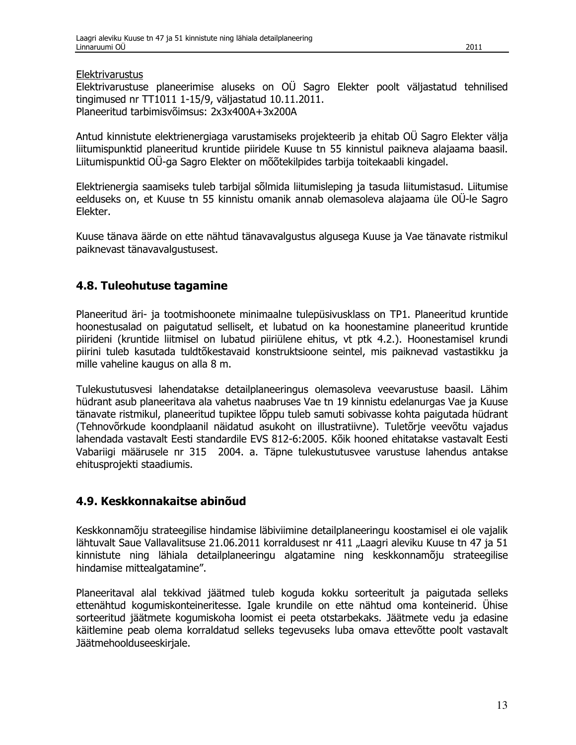Elektrivarustus

Elektrivarustuse planeerimise aluseks on OÜ Sagro Elekter poolt väliastatud tehnilised tingimused nr TT1011 1-15/9, väljastatud 10.11.2011. Planeeritud tarbimisvõimsus: 2x3x400A+3x200A

Antud kinnistute elektrienergiaga varustamiseks projekteerib ja ehitab OÜ Sagro Elekter välja liitumispunktid planeeritud kruntide piiridele Kuuse tn 55 kinnistul paikneva alajaama baasil. Liitumispunktid OÜ-ga Sagro Elekter on mõõtekilpides tarbija toitekaabli kingadel.

Elektrienergia saamiseks tuleb tarbijal sõlmida liitumisleping ja tasuda liitumistasud. Liitumise eelduseks on, et Kuuse tn 55 kinnistu omanik annab olemasoleva alajaama üle OÜ-le Sagro Flekter.

Kuuse tänava äärde on ette nähtud tänavavalgustus algusega Kuuse ja Vae tänavate ristmikul paiknevast tänavavalgustusest.

## 4.8. Tuleohutuse tagamine

Planeeritud äri- ja tootmishoonete minimaalne tulepüsivusklass on TP1. Planeeritud kruntide hoonestusalad on paigutatud selliselt, et lubatud on ka hoonestamine planeeritud kruntide piirideni (kruntide liitmisel on lubatud piiriülene ehitus, vt ptk 4.2.). Hoonestamisel krundi piirini tuleb kasutada tuldtõkestavaid konstruktsioone seintel, mis paiknevad vastastikku ja mille vaheline kaugus on alla 8 m.

Tulekustutusvesi lahendatakse detailplaneeringus olemasoleva veevarustuse baasil. Lähim hüdrant asub planeeritava ala vahetus naabruses Vae tn 19 kinnistu edelanurgas Vae ja Kuuse tänavate ristmikul, planeeritud tupiktee lõppu tuleb samuti sobivasse kohta paigutada hüdrant (Tehnovõrkude koondplaanil näidatud asukoht on illustratiivne). Tuletõrje veevõtu vajadus Jahendada vastavalt Eesti standardile EVS 812-6:2005. Kõik hooned ehitatakse vastavalt Eesti Vabariigi määrusele nr 315 2004. a. Täpne tulekustutusvee varustuse lahendus antakse ehitusprojekti staadiumis.

## 4.9. Keskkonnakaitse abinõud

Keskkonnamõju strateegilise hindamise läbiviimine detailplaneeringu koostamisel ei ole vajalik lähtuvalt Saue Vallavalitsuse 21.06.2011 korraldusest nr 411 "Laagri aleviku Kuuse tn 47 ja 51 kinnistute ning lähiala detailplaneeringu algatamine ning keskkonnamõju strateegilise hindamise mittealgatamine".

Planeeritaval alal tekkivad jäätmed tuleb koguda kokku sorteeritult ja paigutada selleks ettenähtud kogumiskonteineritesse. Igale krundile on ette nähtud oma konteinerid. Ühise sorteeritud jäätmete kogumiskoha loomist ei peeta otstarbekaks. Jäätmete vedu ja edasine käitlemine peab olema korraldatud selleks tegevuseks luba omava ettevõtte poolt vastavalt Jäätmehoolduseeskirjale.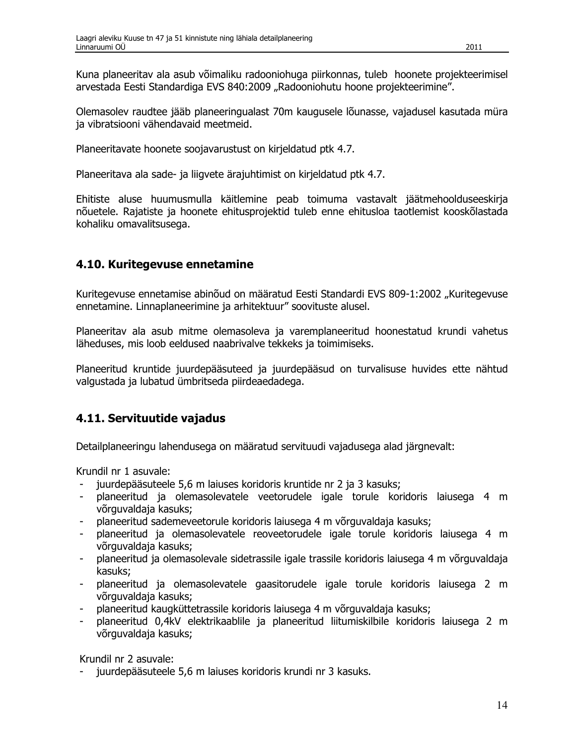Kuna planeeritav ala asub võimaliku radooniohuga piirkonnas, tuleb hoonete projekteerimisel arvestada Eesti Standardiga EVS 840:2009 "Radooniohutu hoone projekteerimine".

Olemasolev raudtee jääb planeeringualast 70m kaugusele lõunasse, vajadusel kasutada müra ja vibratsiooni vähendavaid meetmeid.

Planeeritavate hoonete soojavarustust on kirjeldatud ptk 4.7.

Planeeritava ala sade- ja liigvete ärajuhtimist on kirjeldatud ptk 4.7.

Ehitiste aluse huumusmulla käitlemine peab toimuma vastavalt jäätmehoolduseeskirja nõuetele. Rajatiste ja hoonete ehitusprojektid tuleb enne ehitusloa taotlemist kooskõlastada kohaliku omavalitsusega.

### 4.10. Kuritegevuse ennetamine

Kuritegevuse ennetamise abinõud on määratud Eesti Standardi EVS 809-1:2002 "Kuritegevuse ennetamine. Linnaplaneerimine ja arhitektuur" soovituste alusel.

Planeeritav ala asub mitme olemasoleva ja varemplaneeritud hoonestatud krundi vahetus läheduses, mis loob eeldused naabrivalve tekkeks ja toimimiseks.

Planeeritud kruntide juurdepääsuteed ja juurdepääsud on turvalisuse huvides ette nähtud valgustada ja lubatud ümbritseda piirdeaedadega.

## 4.11. Servituutide vajadus

Detailplaneeringu lahendusega on määratud servituudi vajadusega alad järgnevalt:

Krundil nr 1 asuvale:

- juurdepääsuteele 5,6 m laiuses koridoris kruntide nr 2 ja 3 kasuks;
- planeeritud ja olemasolevatele veetorudele igale torule koridoris laiusega 4 m võrguvaldaja kasuks;
- planeeritud sademeveetorule koridoris laiusega 4 m võrguvaldaja kasuks;
- planeeritud ja olemasolevatele reoveetorudele igale torule koridoris laiusega 4 m võrguvaldaja kasuks;
- planeeritud ja olemasolevale sidetrassile igale trassile koridoris laiusega 4 m võrguvaldaja kasuks:
- planeeritud ja olemasolevatele gaasitorudele igale torule koridoris laiusega 2 m võrguvaldaja kasuks;
- planeeritud kaugküttetrassile koridoris laiusega 4 m võrguvaldaja kasuks;  $\sim$
- planeeritud 0,4kV elektrikaablile ja planeeritud liitumiskilbile koridoris laiusega 2 m võrguvaldaja kasuks;

Krundil nr 2 asuvale:

juurdepääsuteele 5,6 m laiuses koridoris krundi nr 3 kasuks.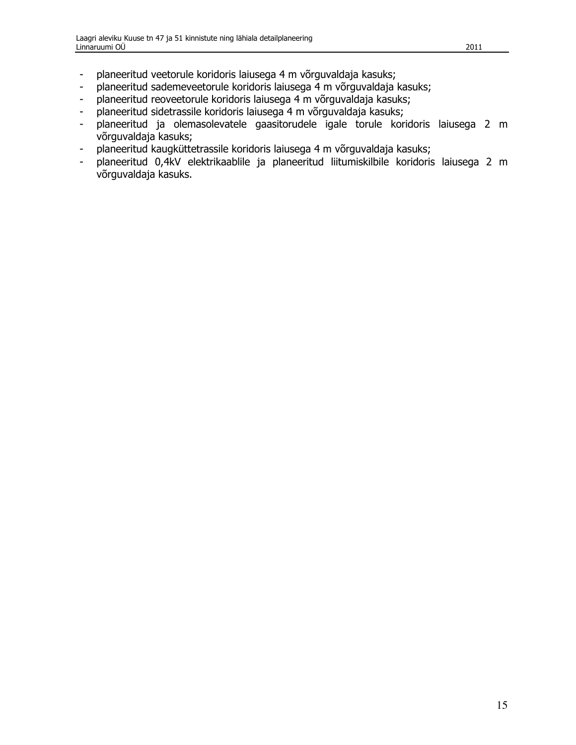- planeeritud veetorule koridoris laiusega 4 m võrguvaldaja kasuks;  $\blacksquare$
- planeeritud sademeveetorule koridoris laiusega 4 m võrguvaldaja kasuks;  $\Box$
- planeeritud reoveetorule koridoris laiusega 4 m võrguvaldaja kasuks;  $\blacksquare$
- planeeritud sidetrassile koridoris laiusega 4 m võrguvaldaja kasuks;  $\omega_{\rm{max}}$
- planeeritud ja olemasolevatele gaasitorudele igale torule koridoris laiusega 2 m  $\equiv$ võrguvaldaja kasuks;
- planeeritud kaugküttetrassile koridoris laiusega 4 m võrguvaldaja kasuks;  $\sim$  .
- planeeritud 0,4kV elektrikaablile ja planeeritud liitumiskilbile koridoris laiusega 2 m  $\omega_{\rm c}$ võrguvaldaja kasuks.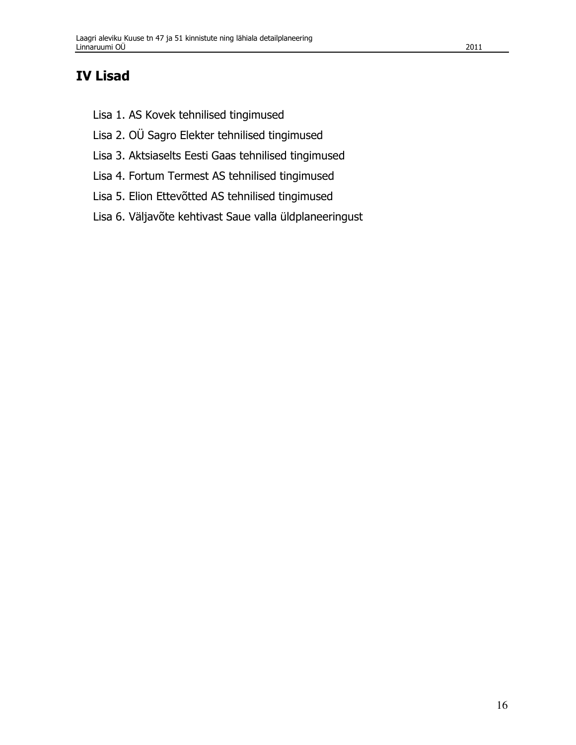- Lisa 1. AS Kovek tehnilised tingimused
- Lisa 2. OÜ Sagro Elekter tehnilised tingimused
- Lisa 3. Aktsiaselts Eesti Gaas tehnilised tingimused
- Lisa 4. Fortum Termest AS tehnilised tingimused
- Lisa 5. Elion Ettevõtted AS tehnilised tingimused
- Lisa 6. Väljavõte kehtivast Saue valla üldplaneeringust